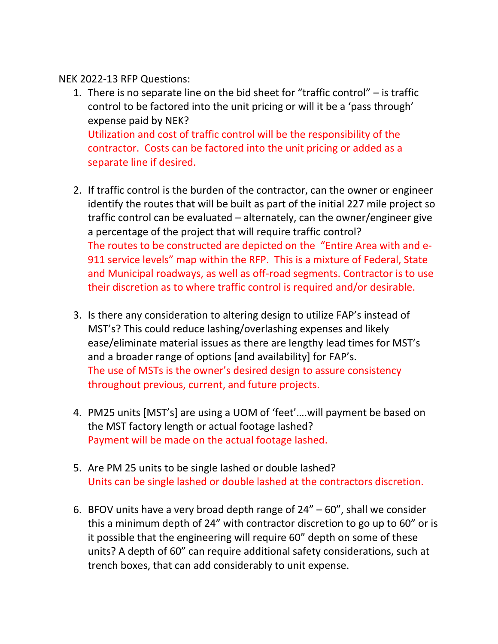NEK 2022-13 RFP Questions:

- 1. There is no separate line on the bid sheet for "traffic control" is traffic control to be factored into the unit pricing or will it be a 'pass through' expense paid by NEK? Utilization and cost of traffic control will be the responsibility of the contractor. Costs can be factored into the unit pricing or added as a separate line if desired.
- 2. If traffic control is the burden of the contractor, can the owner or engineer identify the routes that will be built as part of the initial 227 mile project so traffic control can be evaluated – alternately, can the owner/engineer give a percentage of the project that will require traffic control? The routes to be constructed are depicted on the "Entire Area with and e-911 service levels" map within the RFP. This is a mixture of Federal, State and Municipal roadways, as well as off-road segments. Contractor is to use their discretion as to where traffic control is required and/or desirable.
- 3. Is there any consideration to altering design to utilize FAP's instead of MST's? This could reduce lashing/overlashing expenses and likely ease/eliminate material issues as there are lengthy lead times for MST's and a broader range of options [and availability] for FAP's. The use of MSTs is the owner's desired design to assure consistency throughout previous, current, and future projects.
- 4. PM25 units [MST's] are using a UOM of 'feet'….will payment be based on the MST factory length or actual footage lashed? Payment will be made on the actual footage lashed.
- 5. Are PM 25 units to be single lashed or double lashed? Units can be single lashed or double lashed at the contractors discretion.
- 6. BFOV units have a very broad depth range of 24" 60", shall we consider this a minimum depth of 24" with contractor discretion to go up to 60" or is it possible that the engineering will require 60" depth on some of these units? A depth of 60" can require additional safety considerations, such at trench boxes, that can add considerably to unit expense.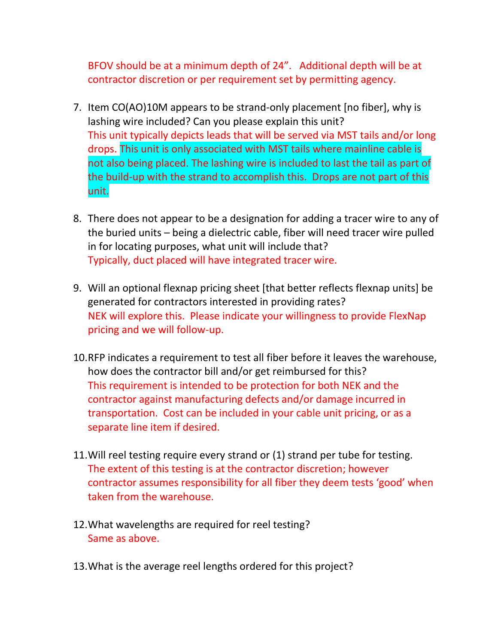BFOV should be at a minimum depth of 24". Additional depth will be at contractor discretion or per requirement set by permitting agency.

- 7. Item CO(AO)10M appears to be strand-only placement [no fiber], why is lashing wire included? Can you please explain this unit? This unit typically depicts leads that will be served via MST tails and/or long drops. This unit is only associated with MST tails where mainline cable is not also being placed. The lashing wire is included to last the tail as part of the build-up with the strand to accomplish this. Drops are not part of this unit.
- 8. There does not appear to be a designation for adding a tracer wire to any of the buried units – being a dielectric cable, fiber will need tracer wire pulled in for locating purposes, what unit will include that? Typically, duct placed will have integrated tracer wire.
- 9. Will an optional flexnap pricing sheet [that better reflects flexnap units] be generated for contractors interested in providing rates? NEK will explore this. Please indicate your willingness to provide FlexNap pricing and we will follow-up.
- 10.RFP indicates a requirement to test all fiber before it leaves the warehouse, how does the contractor bill and/or get reimbursed for this? This requirement is intended to be protection for both NEK and the contractor against manufacturing defects and/or damage incurred in transportation. Cost can be included in your cable unit pricing, or as a separate line item if desired.
- 11.Will reel testing require every strand or (1) strand per tube for testing. The extent of this testing is at the contractor discretion; however contractor assumes responsibility for all fiber they deem tests 'good' when taken from the warehouse.
- 12.What wavelengths are required for reel testing? Same as above.
- 13.What is the average reel lengths ordered for this project?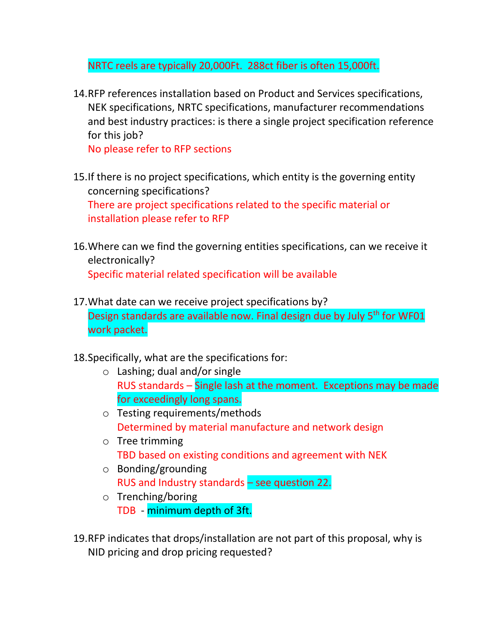NRTC reels are typically 20,000Ft. 288ct fiber is often 15,000ft.

14.RFP references installation based on Product and Services specifications, NEK specifications, NRTC specifications, manufacturer recommendations and best industry practices: is there a single project specification reference for this job?

No please refer to RFP sections

- 15.If there is no project specifications, which entity is the governing entity concerning specifications? There are project specifications related to the specific material or installation please refer to RFP
- 16.Where can we find the governing entities specifications, can we receive it electronically? Specific material related specification will be available
- 17.What date can we receive project specifications by? Design standards are available now. Final design due by July 5<sup>th</sup> for WF01 work packet.
- 18.Specifically, what are the specifications for:
	- o Lashing; dual and/or single RUS standards – Single lash at the moment. Exceptions may be made for exceedingly long spans.
	- o Testing requirements/methods Determined by material manufacture and network design
	- o Tree trimming TBD based on existing conditions and agreement with NEK
	- o Bonding/grounding RUS and Industry standards – see question 22.
	- o Trenching/boring TDB - minimum depth of 3ft.
- 19.RFP indicates that drops/installation are not part of this proposal, why is NID pricing and drop pricing requested?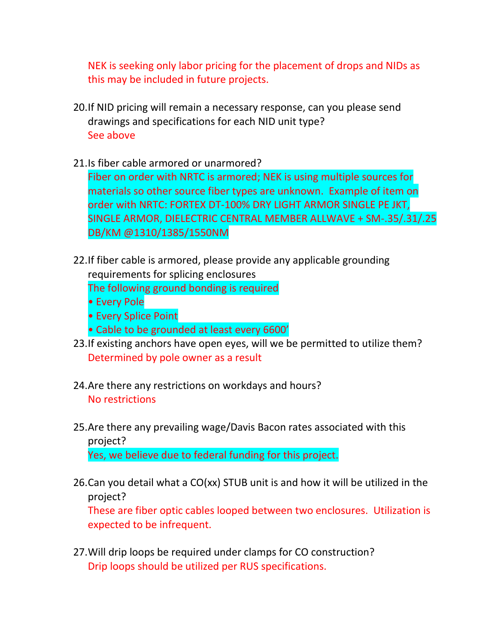NEK is seeking only labor pricing for the placement of drops and NIDs as this may be included in future projects.

- 20.If NID pricing will remain a necessary response, can you please send drawings and specifications for each NID unit type? See above
- 21.Is fiber cable armored or unarmored?

Fiber on order with NRTC is armored; NEK is using multiple sources for materials so other source fiber types are unknown. Example of item on order with NRTC: FORTEX DT-100% DRY LIGHT ARMOR SINGLE PE JKT, SINGLE ARMOR, DIELECTRIC CENTRAL MEMBER ALLWAVE + SM-.35/.31/.25 DB/KM @1310/1385/1550NM

- 22.If fiber cable is armored, please provide any applicable grounding requirements for splicing enclosures The following ground bonding is required
	- Every Pole
	- Every Splice Point
	- Cable to be grounded at least every 6600'
- 23.If existing anchors have open eyes, will we be permitted to utilize them? Determined by pole owner as a result
- 24.Are there any restrictions on workdays and hours? No restrictions
- 25.Are there any prevailing wage/Davis Bacon rates associated with this project? Yes, we believe due to federal funding for this project.
- 26.Can you detail what a CO(xx) STUB unit is and how it will be utilized in the project?

These are fiber optic cables looped between two enclosures. Utilization is expected to be infrequent.

27.Will drip loops be required under clamps for CO construction? Drip loops should be utilized per RUS specifications.